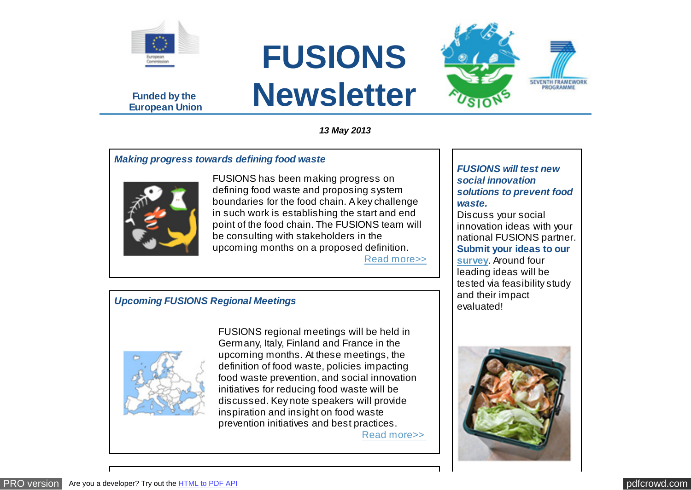

**Funded by the European Union**



*13 May 2013*

## *Making progress towards defining food waste*



FUSIONS has been making progress on defining food waste and proposing system boundaries for the food chain. A key challenge in such work is establishing the start and end point of the food chain. The FUSIONS team will be consulting with stakeholders in the upcoming months on a proposed definition. [Read more>>](http://www.eu-fusions.org/news/making-progress-towards-defining-food-waste)

## *FUSIONS will test new social innovation solutions to prevent food waste.*

SEVENTH FRAMEWORK

Discuss your social innovation ideas with your national FUSIONS partner. **Submit your ideas to our [survey](http://www.surveymonkey.com/s/5X2FKW9)**. Around four leading ideas will be tested via feasibility study and their impact<br>evaluated

## *Upcoming FUSIONS Regional Meetings*



FUSIONS regional meetings will be held in Germany, Italy, Finland and France in the upcoming months. At these meetings, the definition of food waste, policies impacting food waste prevention, and social innovation initiatives for reducing food waste will be discussed. Key note speakers will provide inspiration and insight on food waste prevention initiatives and best practices.

[Read more>>](http://www.eu-fusions.org/news/upcoming-fusions-regional-meetings)